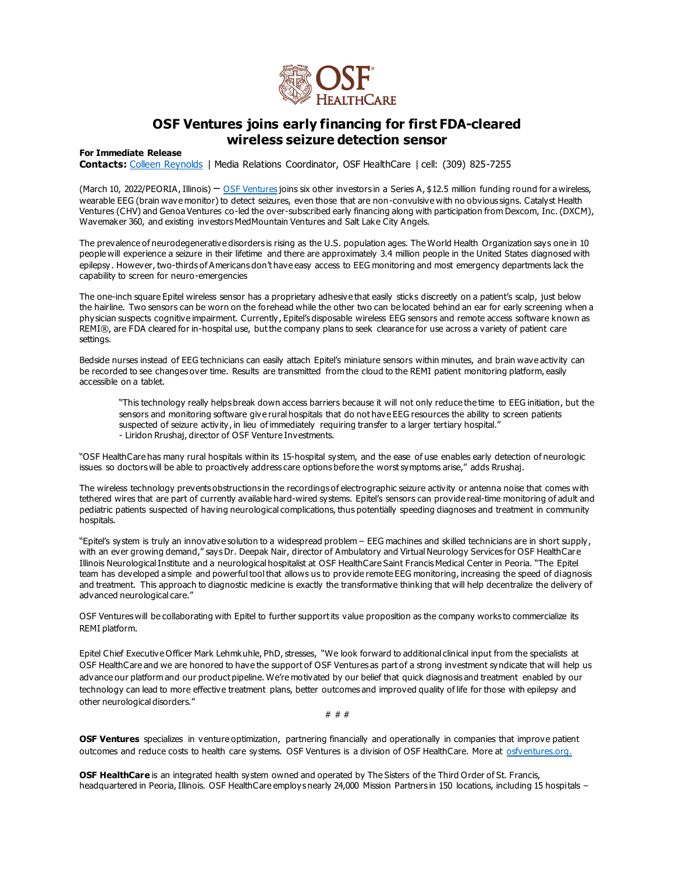

## **OSF Ventures joins early financing for first FDA-cleared wireless seizure detection sensor**

## **For Immediate Release**

**Contacts:** [Colleen Reynolds](mailto:colleen.reynolds@osfhealthcare.org) | Media Relations Coordinator, OSF HealthCare | cell: (309) 825-7255

(March 10, 2022/PEORIA, Illinois) – [OSF Ventures](https://www.osfhealthcare.org/innovation/who/ventures/) joins six other investors in a Series A, \$12.5 million funding round for a wireless, wearable EEG (brain wave monitor) to detect seizures, even those that are non-convulsive with no obvious signs. Catalyst Health Ventures (CHV) and Genoa Ventures co-led the over-subscribed early financing along with participation from Dexcom, Inc. (DXCM), Wavemaker 360, and existing investors MedMountain Ventures and Salt Lake City Angels.

The prevalence of neurodegenerative disorders is rising as the U.S. population ages. The World Health Organization says one in 10 people will experience a seizure in their lifetime and there are approximately 3.4 million people in the United States diagnosed with epilepsy. However, two-thirds of Americans don't have easy access to EEG monitoring and most emergency departments lack the capability to screen for neuro-emergencies

The one-inch square Epitel wireless sensor has a proprietary adhesive that easily sticks discreetly on a patient's scalp, just below the hairline. Two sensors can be worn on the forehead while the other two can be located behind an ear for early screening when a physician suspects cognitive impairment. Currently, Epitel's disposable wireless EEG sensors and remote access software known as REMI®, are FDA cleared for in-hospital use, but the company plans to seek clearance for use across a variety of patient care settings.

Bedside nurses instead of EEG technicians can easily attach Epitel's miniature sensors within minutes, and brain wave activity can be recorded to see changes over time. Results are transmitted from the cloud to the REMI patient monitoring platform, easily accessible on a tablet.

"This technology really helps break down access barriers because it will not only reduce the time to EEG initiation, but the sensors and monitoring software give rural hospitals that do not have EEG resources the ability to screen patients suspected of seizure activity, in lieu of immediately requiring transfer to a larger tertiary hospital." - Liridon Rrushaj, director of OSF Venture Investments.

"OSF HealthCare has many rural hospitals within its 15-hospital system, and the ease of use enables early detection of neurologic issues so doctors will be able to proactively address care options before the worst symptoms arise," adds Rrushaj.

The wireless technology prevents obstructions in the recordings of electrographic seizure activity or antenna noise that comes with tethered wires that are part of currently available hard-wired systems. Epitel's sensors can provide real-time monitoring of adult and pediatric patients suspected of having neurological complications, thus potentially speeding diagnoses and treatment in community hospitals.

"Epitel's system is truly an innovative solution to a widespread problem – EEG machines and skilled technicians are in short supply, with an ever growing demand," says Dr. Deepak Nair, director of Ambulatory and Virtual Neurology Services for OSF HealthCare Illinois Neurological Institute and a neurological hospitalist at OSF HealthCare Saint Francis Medical Center in Peoria. "The Epitel team has developed a simple and powerful tool that allows us to provide remote EEG monitoring, increasing the speed of diagnosis and treatment. This approach to diagnostic medicine is exactly the transformative thinking that will help decentralize the delivery of advanced neurological care."

OSF Ventures will be collaborating with Epitel to further support its value proposition as the company works to commercialize its REMI platform.

Epitel Chief Executive Officer Mark Lehmkuhle, PhD, stresses, "We look forward to additional clinical input from the specialists at OSF HealthCare and we are honored to have the support of OSF Ventures as part of a strong investment syndicate that will help us advance our platform and our product pipeline. We're motivated by our belief that quick diagnosis and treatment enabled by our technology can lead to more effective treatment plans, better outcomes and improved quality of life for those with epilepsy and other neurological disorders."

# # #

**OSF Ventures** specializes in venture optimization, partnering financially and operationally in companies that improve patient outcomes and reduce costs to health care systems. OSF Ventures is a division of OSF HealthCare. More at [osfventures.org.](https://www.osfhealthcare.org/ventures/) 

**OSF HealthCare** is an integrated health system owned and operated by The Sisters of the Third Order of St. Francis, headquartered in Peoria, Illinois. OSF HealthCare employs nearly 24,000 Mission Partners in 150 locations, including 15 hospitals –